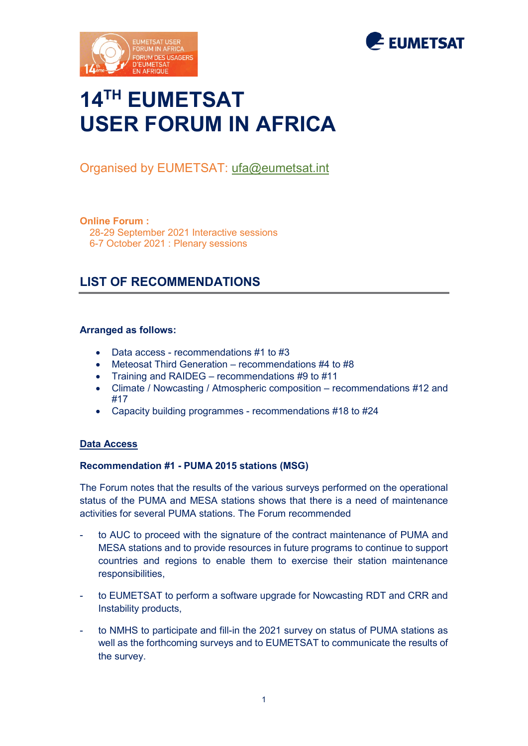



# **14TH EUMETSAT USER FORUM IN AFRICA**

# Organised by EUMETSAT: [ufa@eumetsat.int](mailto:ufa@eumetsat.int)

#### **Online Forum :**

28-29 September 2021 Interactive sessions 6-7 October 2021 : Plenary sessions

# **LIST OF RECOMMENDATIONS**

#### **Arranged as follows:**

- Data access recommendations #1 to #3
- Meteosat Third Generation recommendations #4 to #8
- Training and RAIDEG recommendations #9 to #11
- Climate / Nowcasting / Atmospheric composition recommendations #12 and #17
- Capacity building programmes recommendations #18 to #24

#### **Data Access**

#### **Recommendation #1 - PUMA 2015 stations (MSG)**

The Forum notes that the results of the various surveys performed on the operational status of the PUMA and MESA stations shows that there is a need of maintenance activities for several PUMA stations. The Forum recommended

- to AUC to proceed with the signature of the contract maintenance of PUMA and MESA stations and to provide resources in future programs to continue to support countries and regions to enable them to exercise their station maintenance responsibilities,
- to EUMETSAT to perform a software upgrade for Nowcasting RDT and CRR and Instability products,
- to NMHS to participate and fill-in the 2021 survey on status of PUMA stations as well as the forthcoming surveys and to EUMETSAT to communicate the results of the survey.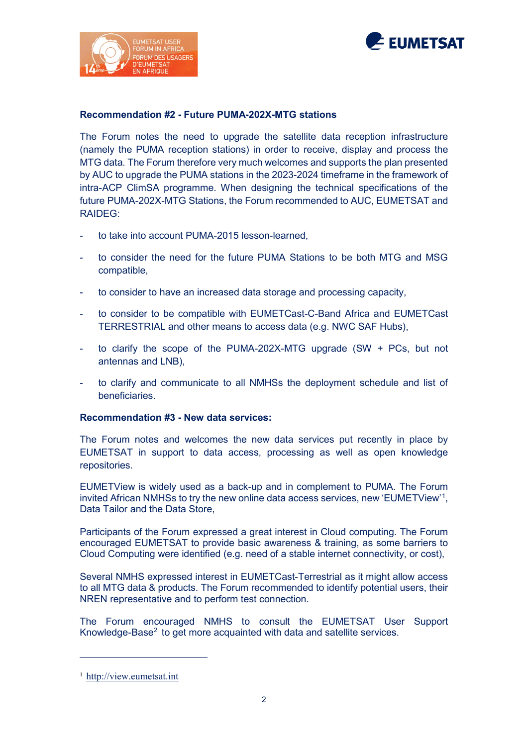



### **Recommendation #2 - Future PUMA-202X-MTG stations**

The Forum notes the need to upgrade the satellite data reception infrastructure (namely the PUMA reception stations) in order to receive, display and process the MTG data. The Forum therefore very much welcomes and supports the plan presented by AUC to upgrade the PUMA stations in the 2023-2024 timeframe in the framework of intra-ACP ClimSA programme. When designing the technical specifications of the future PUMA-202X-MTG Stations, the Forum recommended to AUC, EUMETSAT and RAIDEG:

- to take into account PUMA-2015 lesson-learned,
- to consider the need for the future PUMA Stations to be both MTG and MSG compatible,
- to consider to have an increased data storage and processing capacity,
- to consider to be compatible with EUMETCast-C-Band Africa and EUMETCast TERRESTRIAL and other means to access data (e.g. NWC SAF Hubs),
- to clarify the scope of the PUMA-202X-MTG upgrade  $(SW + PCs)$ , but not antennas and LNB),
- to clarify and communicate to all NMHSs the deployment schedule and list of beneficiaries.

#### **Recommendation #3 - New data services:**

The Forum notes and welcomes the new data services put recently in place by EUMETSAT in support to data access, processing as well as open knowledge repositories.

EUMETView is widely used as a back-up and in complement to PUMA. The Forum invited African NMHSs to try the new online data access services, new 'EUMETView'<sup>[1](#page-1-0)</sup>, Data Tailor and the Data Store,

Participants of the Forum expressed a great interest in Cloud computing. The Forum encouraged EUMETSAT to provide basic awareness & training, as some barriers to Cloud Computing were identified (e.g. need of a stable internet connectivity, or cost),

Several NMHS expressed interest in EUMETCast-Terrestrial as it might allow access to all MTG data & products. The Forum recommended to identify potential users, their NREN representative and to perform test connection.

<span id="page-1-1"></span>The Forum encouraged NMHS to consult the EUMETSAT User Support Knowledge-Base<sup>[2](#page-1-1)</sup> to get more acquainted with data and satellite services.

-

<span id="page-1-0"></span><sup>1</sup> [http://view.eumetsat.int](http://view.eumetsat.int/)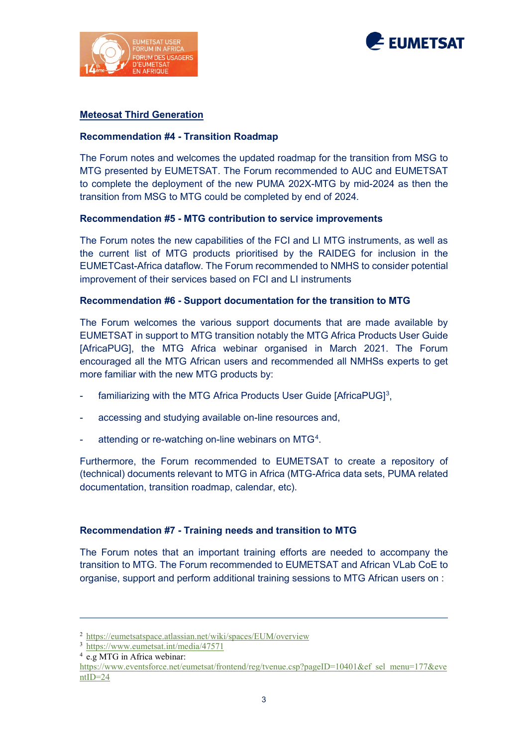



### **Meteosat Third Generation**

#### **Recommendation #4 - Transition Roadmap**

The Forum notes and welcomes the updated roadmap for the transition from MSG to MTG presented by EUMETSAT. The Forum recommended to AUC and EUMETSAT to complete the deployment of the new PUMA 202X-MTG by mid-2024 as then the transition from MSG to MTG could be completed by end of 2024.

#### **Recommendation #5 - MTG contribution to service improvements**

The Forum notes the new capabilities of the FCI and LI MTG instruments, as well as the current list of MTG products prioritised by the RAIDEG for inclusion in the EUMETCast-Africa dataflow. The Forum recommended to NMHS to consider potential improvement of their services based on FCI and LI instruments

#### **Recommendation #6 - Support documentation for the transition to MTG**

The Forum welcomes the various support documents that are made available by EUMETSAT in support to MTG transition notably the MTG Africa Products User Guide [AfricaPUG], the MTG Africa webinar organised in March 2021. The Forum encouraged all the MTG African users and recommended all NMHSs experts to get more familiar with the new MTG products by:

- familiarizing with the MTG Africa Products User Guide [AfricaPUG] $^3$  $^3$ ,
- accessing and studying available on-line resources and,
- attending or re-watching on-line webinars on MTG<sup>[4](#page-2-1)</sup>.

Furthermore, the Forum recommended to EUMETSAT to create a repository of (technical) documents relevant to MTG in Africa (MTG-Africa data sets, PUMA related documentation, transition roadmap, calendar, etc).

#### **Recommendation #7 - Training needs and transition to MTG**

The Forum notes that an important training efforts are needed to accompany the transition to MTG. The Forum recommended to EUMETSAT and African VLab CoE to organise, support and perform additional training sessions to MTG African users on :

-

<span id="page-2-0"></span><sup>&</sup>lt;sup>2</sup> https://eumetsatspace.atlassian.net/wiki/spaces/EUM/overview<br> $\frac{3 \text{ https://www.eumetsat.int/media/47571}}{4 \text{ e.g } MTG}$  in Africa webinar:

<span id="page-2-1"></span>[https://www.eventsforce.net/eumetsat/frontend/reg/tvenue.csp?pageID=10401&ef\\_sel\\_menu=177&eve](https://www.eventsforce.net/eumetsat/frontend/reg/tvenue.csp?pageID=10401&ef_sel_menu=177&eventID=24)  $ntID=24$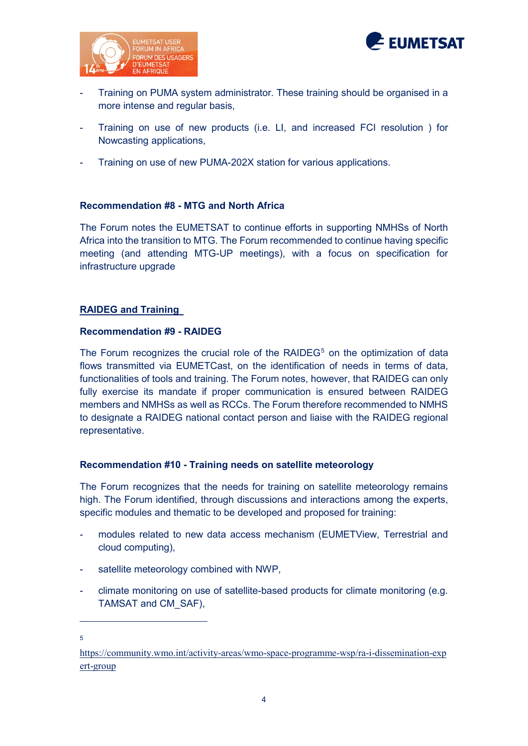



- Training on PUMA system administrator. These training should be organised in a more intense and regular basis,
- Training on use of new products (i.e. LI, and increased FCI resolution ) for Nowcasting applications,
- Training on use of new PUMA-202X station for various applications.

#### **Recommendation #8 - MTG and North Africa**

The Forum notes the EUMETSAT to continue efforts in supporting NMHSs of North Africa into the transition to MTG. The Forum recommended to continue having specific meeting (and attending MTG-UP meetings), with a focus on specification for infrastructure upgrade

# **RAIDEG and Training**

#### **Recommendation #9 - RAIDEG**

The Forum recognizes the crucial role of the RAIDEG<sup>[5](#page-3-0)</sup> on the optimization of data flows transmitted via EUMETCast, on the identification of needs in terms of data, functionalities of tools and training. The Forum notes, however, that RAIDEG can only fully exercise its mandate if proper communication is ensured between RAIDEG members and NMHSs as well as RCCs. The Forum therefore recommended to NMHS to designate a RAIDEG national contact person and liaise with the RAIDEG regional representative.

#### **Recommendation #10 - Training needs on satellite meteorology**

The Forum recognizes that the needs for training on satellite meteorology remains high. The Forum identified, through discussions and interactions among the experts, specific modules and thematic to be developed and proposed for training:

- modules related to new data access mechanism (EUMETView, Terrestrial and cloud computing),
- satellite meteorology combined with NWP,
- climate monitoring on use of satellite-based products for climate monitoring (e.g. TAMSAT and CM\_SAF),

-5

<span id="page-3-0"></span>[https://community.wmo.int/activity-areas/wmo-space-programme-wsp/ra-i-dissemination-exp](https://community.wmo.int/activity-areas/wmo-space-programme-wsp/ra-i-dissemination-expert-group) [ert-group](https://community.wmo.int/activity-areas/wmo-space-programme-wsp/ra-i-dissemination-expert-group)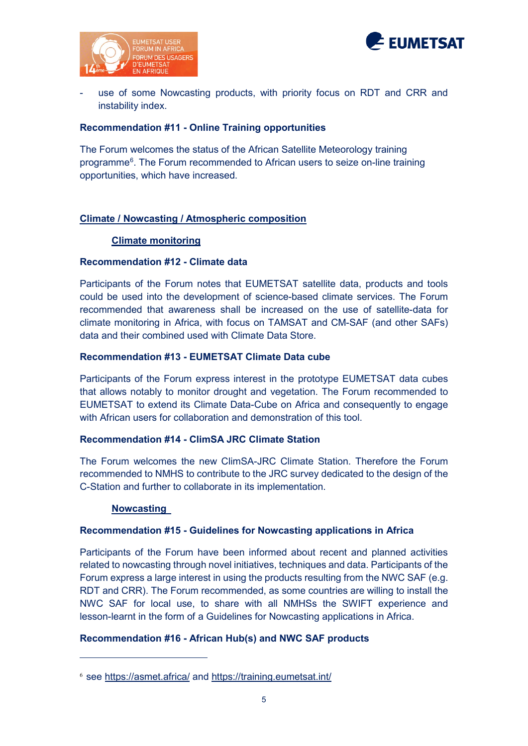



use of some Nowcasting products, with priority focus on RDT and CRR and instability index.

### **Recommendation #11 - Online Training opportunities**

The Forum welcomes the status of the African Satellite Meteorology training programme<sup>[6](#page-4-0)</sup>. The Forum recommended to African users to seize on-line training opportunities, which have increased.

# **Climate / Nowcasting / Atmospheric composition**

# **Climate monitoring**

# **Recommendation #12 - Climate data**

Participants of the Forum notes that EUMETSAT satellite data, products and tools could be used into the development of science-based climate services. The Forum recommended that awareness shall be increased on the use of satellite-data for climate monitoring in Africa, with focus on TAMSAT and CM-SAF (and other SAFs) data and their combined used with Climate Data Store.

# **Recommendation #13 - EUMETSAT Climate Data cube**

Participants of the Forum express interest in the prototype EUMETSAT data cubes that allows notably to monitor drought and vegetation. The Forum recommended to EUMETSAT to extend its Climate Data-Cube on Africa and consequently to engage with African users for collaboration and demonstration of this tool.

#### **Recommendation #14 - ClimSA JRC Climate Station**

The Forum welcomes the new ClimSA-JRC Climate Station. Therefore the Forum recommended to NMHS to contribute to the JRC survey dedicated to the design of the C-Station and further to collaborate in its implementation.

#### **Nowcasting**

-

#### **Recommendation #15 - Guidelines for Nowcasting applications in Africa**

Participants of the Forum have been informed about recent and planned activities related to nowcasting through novel initiatives, techniques and data. Participants of the Forum express a large interest in using the products resulting from the NWC SAF (e.g. RDT and CRR). The Forum recommended, as some countries are willing to install the NWC SAF for local use, to share with all NMHSs the SWIFT experience and lesson-learnt in the form of a Guidelines for Nowcasting applications in Africa.

# **Recommendation #16 - African Hub(s) and NWC SAF products**

<span id="page-4-0"></span><sup>6</sup> see<https://asmet.africa/> and<https://training.eumetsat.int/>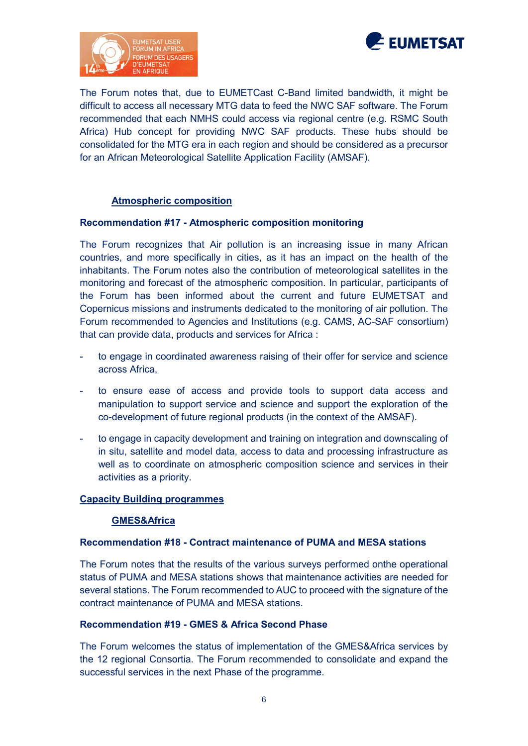



The Forum notes that, due to EUMETCast C-Band limited bandwidth, it might be difficult to access all necessary MTG data to feed the NWC SAF software. The Forum recommended that each NMHS could access via regional centre (e.g. RSMC South Africa) Hub concept for providing NWC SAF products. These hubs should be consolidated for the MTG era in each region and should be considered as a precursor for an African Meteorological Satellite Application Facility (AMSAF).

#### **Atmospheric composition**

#### **Recommendation #17 - Atmospheric composition monitoring**

The Forum recognizes that Air pollution is an increasing issue in many African countries, and more specifically in cities, as it has an impact on the health of the inhabitants. The Forum notes also the contribution of meteorological satellites in the monitoring and forecast of the atmospheric composition. In particular, participants of the Forum has been informed about the current and future EUMETSAT and Copernicus missions and instruments dedicated to the monitoring of air pollution. The Forum recommended to Agencies and Institutions (e.g. CAMS, AC-SAF consortium) that can provide data, products and services for Africa :

- to engage in coordinated awareness raising of their offer for service and science across Africa,
- to ensure ease of access and provide tools to support data access and manipulation to support service and science and support the exploration of the co-development of future regional products (in the context of the AMSAF).
- to engage in capacity development and training on integration and downscaling of in situ, satellite and model data, access to data and processing infrastructure as well as to coordinate on atmospheric composition science and services in their activities as a priority.

#### **Capacity Building programmes**

#### **GMES&Africa**

#### **Recommendation #18 - Contract maintenance of PUMA and MESA stations**

The Forum notes that the results of the various surveys performed onthe operational status of PUMA and MESA stations shows that maintenance activities are needed for several stations. The Forum recommended to AUC to proceed with the signature of the contract maintenance of PUMA and MESA stations.

#### **Recommendation #19 - GMES & Africa Second Phase**

The Forum welcomes the status of implementation of the GMES&Africa services by the 12 regional Consortia. The Forum recommended to consolidate and expand the successful services in the next Phase of the programme.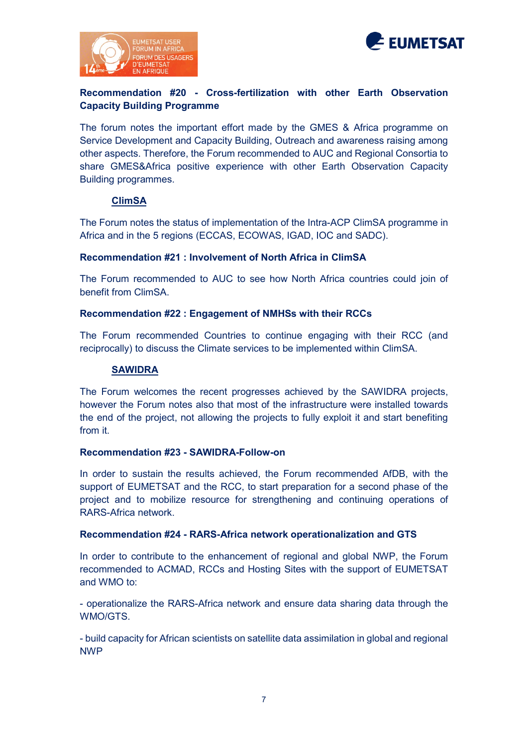



# **Recommendation #20 - Cross-fertilization with other Earth Observation Capacity Building Programme**

The forum notes the important effort made by the GMES & Africa programme on Service Development and Capacity Building, Outreach and awareness raising among other aspects. Therefore, the Forum recommended to AUC and Regional Consortia to share GMES&Africa positive experience with other Earth Observation Capacity Building programmes.

# **ClimSA**

The Forum notes the status of implementation of the Intra-ACP ClimSA programme in Africa and in the 5 regions (ECCAS, ECOWAS, IGAD, IOC and SADC).

# **Recommendation #21 : Involvement of North Africa in ClimSA**

The Forum recommended to AUC to see how North Africa countries could join of benefit from ClimSA.

#### **Recommendation #22 : Engagement of NMHSs with their RCCs**

The Forum recommended Countries to continue engaging with their RCC (and reciprocally) to discuss the Climate services to be implemented within ClimSA.

#### **SAWIDRA**

The Forum welcomes the recent progresses achieved by the SAWIDRA projects, however the Forum notes also that most of the infrastructure were installed towards the end of the project, not allowing the projects to fully exploit it and start benefiting from it.

#### **Recommendation #23 - SAWIDRA-Follow-on**

In order to sustain the results achieved, the Forum recommended AfDB, with the support of EUMETSAT and the RCC, to start preparation for a second phase of the project and to mobilize resource for strengthening and continuing operations of RARS-Africa network.

#### **Recommendation #24 - RARS-Africa network operationalization and GTS**

In order to contribute to the enhancement of regional and global NWP, the Forum recommended to ACMAD, RCCs and Hosting Sites with the support of EUMETSAT and WMO to:

- operationalize the RARS-Africa network and ensure data sharing data through the WMO/GTS.

- build capacity for African scientists on satellite data assimilation in global and regional NWP